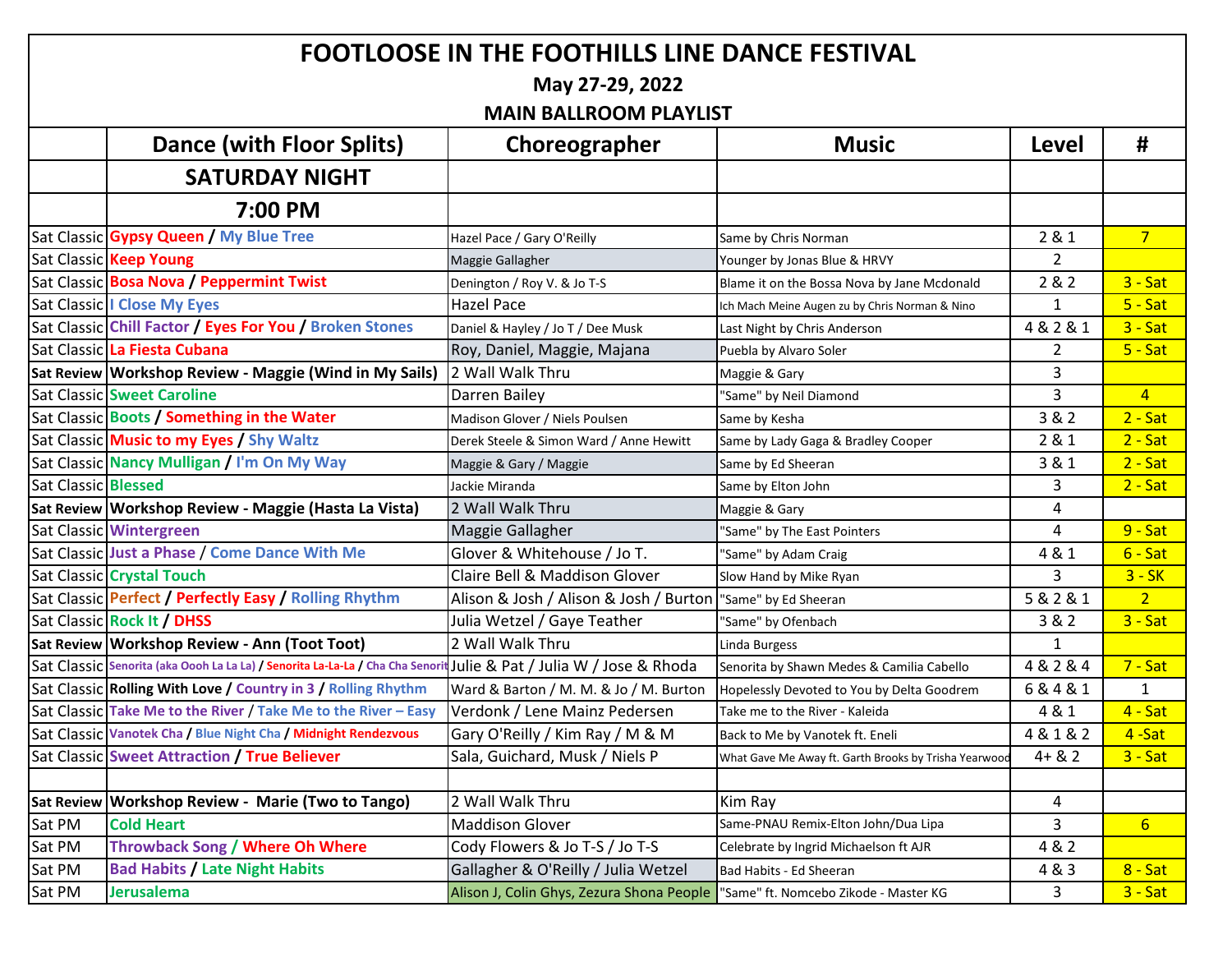| <b>FOOTLOOSE IN THE FOOTHILLS LINE DANCE FESTIVAL</b> |                                                                              |                                           |                                                       |                |                |  |  |  |  |
|-------------------------------------------------------|------------------------------------------------------------------------------|-------------------------------------------|-------------------------------------------------------|----------------|----------------|--|--|--|--|
| May 27-29, 2022                                       |                                                                              |                                           |                                                       |                |                |  |  |  |  |
| <b>MAIN BALLROOM PLAYLIST</b>                         |                                                                              |                                           |                                                       |                |                |  |  |  |  |
|                                                       | <b>Dance (with Floor Splits)</b>                                             | Choreographer                             | <b>Music</b>                                          | <b>Level</b>   | #              |  |  |  |  |
|                                                       |                                                                              |                                           |                                                       |                |                |  |  |  |  |
|                                                       | <b>SATURDAY NIGHT</b>                                                        |                                           |                                                       |                |                |  |  |  |  |
|                                                       | 7:00 PM                                                                      |                                           |                                                       |                |                |  |  |  |  |
|                                                       | Sat Classic Gypsy Queen / My Blue Tree                                       | Hazel Pace / Gary O'Reilly                | Same by Chris Norman                                  | 2 & 1          | 7 <sup>1</sup> |  |  |  |  |
|                                                       | Sat Classic Keep Young                                                       | Maggie Gallagher                          | Younger by Jonas Blue & HRVY                          | $\overline{2}$ |                |  |  |  |  |
|                                                       | Sat Classic Bosa Nova / Peppermint Twist                                     | Denington / Roy V. & Jo T-S               | Blame it on the Bossa Nova by Jane Mcdonald           | 2 & 2          | $3 - Sat$      |  |  |  |  |
|                                                       | <b>Sat Classic I Close My Eyes</b>                                           | <b>Hazel Pace</b>                         | Ich Mach Meine Augen zu by Chris Norman & Nino        | $\mathbf{1}$   | $5 - Sat$      |  |  |  |  |
|                                                       | Sat Classic Chill Factor / Eyes For You / Broken Stones                      | Daniel & Hayley / Jo T / Dee Musk         | Last Night by Chris Anderson                          | 4 & 2 & 1      | $3 - Sat$      |  |  |  |  |
|                                                       | Sat Classic La Fiesta Cubana                                                 | Roy, Daniel, Maggie, Majana               | Puebla by Alvaro Soler                                | 2              | $5 - Sat$      |  |  |  |  |
|                                                       | Sat Review   Workshop Review - Maggie (Wind in My Sails)                     | 2 Wall Walk Thru                          | Maggie & Gary                                         | 3              |                |  |  |  |  |
|                                                       | <b>Sat Classic Sweet Caroline</b>                                            | Darren Bailey                             | "Same" by Neil Diamond                                | 3              | $\overline{4}$ |  |  |  |  |
|                                                       | Sat Classic Boots / Something in the Water                                   | Madison Glover / Niels Poulsen            | Same by Kesha                                         | 3 & 2          | $2 - Sat$      |  |  |  |  |
|                                                       | Sat Classic Music to my Eyes / Shy Waltz                                     | Derek Steele & Simon Ward / Anne Hewitt   | Same by Lady Gaga & Bradley Cooper                    | 2 & 1          | $2 - Sat$      |  |  |  |  |
|                                                       | Sat Classic Nancy Mulligan / I'm On My Way                                   | Maggie & Gary / Maggie                    | Same by Ed Sheeran                                    | 3 & 1          | $2 - Sat$      |  |  |  |  |
| Sat Classic Blessed                                   |                                                                              | Jackie Miranda                            | Same by Elton John                                    | 3              | $2 - Sat$      |  |  |  |  |
|                                                       | Sat Review Workshop Review - Maggie (Hasta La Vista)                         | 2 Wall Walk Thru                          | Maggie & Gary                                         | 4              |                |  |  |  |  |
|                                                       | <b>Sat Classic Wintergreen</b>                                               | Maggie Gallagher                          | "Same" by The East Pointers                           | 4              | $9 - Sat$      |  |  |  |  |
|                                                       | Sat Classic Just a Phase / Come Dance With Me                                | Glover & Whitehouse / Jo T.               | "Same" by Adam Craig                                  | 4 & 1          | $6 - Sat$      |  |  |  |  |
|                                                       | Sat Classic Crystal Touch                                                    | Claire Bell & Maddison Glover             | Slow Hand by Mike Ryan                                | 3              | $3 - SK$       |  |  |  |  |
|                                                       | Sat Classic Perfect / Perfectly Easy / Rolling Rhythm                        | Alison & Josh / Alison & Josh / Burton    | "Same" by Ed Sheeran                                  | 5&2&1          | $\overline{2}$ |  |  |  |  |
|                                                       | Sat Classic Rock It / DHSS                                                   | Julia Wetzel / Gaye Teather               | "Same" by Ofenbach                                    | 3 & 2          | $3 - Sat$      |  |  |  |  |
|                                                       | Sat Review Workshop Review - Ann (Toot Toot)                                 | 2 Wall Walk Thru                          | Linda Burgess                                         | $\mathbf{1}$   |                |  |  |  |  |
|                                                       | Sat Classic Senorita (aka Oooh La La La) / Senorita La-La-La / Cha Cha Senor | Julie & Pat / Julia W / Jose & Rhoda      | Senorita by Shawn Medes & Camilia Cabello             | 4 & 2 & 4      | $7 - Sat$      |  |  |  |  |
|                                                       | Sat Classic Rolling With Love / Country in 3 / Rolling Rhythm                | Ward & Barton / M. M. & Jo / M. Burton    | Hopelessly Devoted to You by Delta Goodrem            | 6&4&1          | $\mathbf{1}$   |  |  |  |  |
|                                                       | Sat Classic Take Me to the River / Take Me to the River - Easy               | Verdonk / Lene Mainz Pedersen             | Take me to the River - Kaleida                        | 4 & 1          | $4 - Sat$      |  |  |  |  |
|                                                       | Sat Classic Vanotek Cha / Blue Night Cha / Midnight Rendezvous               | Gary O'Reilly / Kim Ray / M & M           | Back to Me by Vanotek ft. Eneli                       | 4 & 1 & 2      | 4-Sat          |  |  |  |  |
|                                                       | Sat Classic Sweet Attraction / True Believer                                 | Sala, Guichard, Musk / Niels P            | What Gave Me Away ft. Garth Brooks by Trisha Yearwood | $4 + 8.2$      | $3 - Sat$      |  |  |  |  |
|                                                       |                                                                              |                                           |                                                       |                |                |  |  |  |  |
|                                                       | Sat Review Workshop Review - Marie (Two to Tango)                            | 2 Wall Walk Thru                          | Kim Ray                                               | 4              |                |  |  |  |  |
| Sat PM                                                | <b>Cold Heart</b>                                                            | <b>Maddison Glover</b>                    | Same-PNAU Remix-Elton John/Dua Lipa                   | 3              | 6 <sup>1</sup> |  |  |  |  |
| Sat PM                                                | Throwback Song / Where Oh Where                                              | Cody Flowers & Jo T-S / Jo T-S            | Celebrate by Ingrid Michaelson ft AJR                 | 4 & 2          |                |  |  |  |  |
| Sat PM                                                | <b>Bad Habits / Late Night Habits</b>                                        | Gallagher & O'Reilly / Julia Wetzel       | Bad Habits - Ed Sheeran                               | 4 & 3          | $8 - Sat$      |  |  |  |  |
| Sat PM                                                | <b>Jerusalema</b>                                                            | Alison J, Colin Ghys, Zezura Shona People | "Same" ft. Nomcebo Zikode - Master KG                 | 3              | $3 - Sat$      |  |  |  |  |